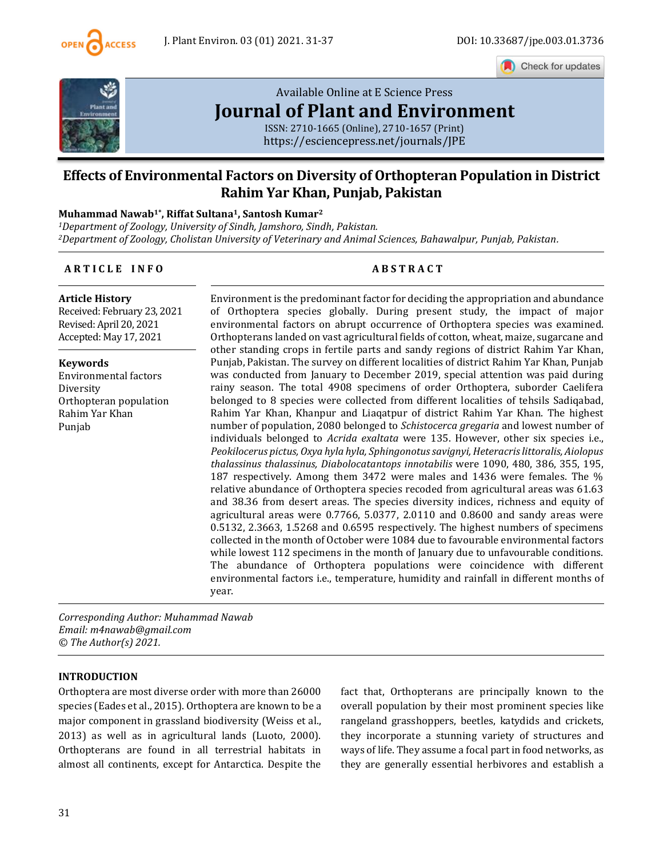

Check for updates



# [Available Online at E](https://esciencepress.net/journals/JPE) Science Press **[Journal of Plant and Environment](https://esciencepress.net/journals/JPE)**

ISSN: 2710-1665 (Online), 2710-1657 (Print) <https://esciencepress.net/journals/JPE>

## **Effects of Environmental Factors on Diversity of Orthopteran Population in District Rahim Yar Khan, Punjab, Pakistan**

#### **Muhammad Nawab1\* , Riffat Sultana1, Santosh Kumar<sup>2</sup>**

*<sup>1</sup>Department of Zoology, University of Sindh, Jamshoro, Sindh, Pakistan. <sup>2</sup>Department of Zoology, Cholistan University of Veterinary and Animal Sciences, Bahawalpur, Punjab, Pakistan.*

#### **A R T I C L E I N F O A B S T R A C T**

**Article History** Received: February 23, 2021 Revised: April 20, 2021 Accepted: May 17, 2021

**Keywords** Environmental factors Diversity Orthopteran population Rahim Yar Khan Punjab

Environment is the predominant factor for deciding the appropriation and abundance of Orthoptera species globally. During present study, the impact of major environmental factors on abrupt occurrence of Orthoptera species was examined. Orthopterans landed on vast agricultural fields of cotton, wheat, maize, sugarcane and other standing crops in fertile parts and sandy regions of district Rahim Yar Khan, Punjab, Pakistan. The survey on different localities of district Rahim Yar Khan, Punjab was conducted from January to December 2019, special attention was paid during rainy season. The total 4908 specimens of order Orthoptera, suborder Caelifera belonged to 8 species were collected from different localities of tehsils Sadiqabad, Rahim Yar Khan, Khanpur and Liaqatpur of district Rahim Yar Khan. The highest number of population, 2080 belonged to *Schistocerca gregaria* and lowest number of individuals belonged to *Acrida exaltata* were 135. However, other six species i.e., *Peokilocerus pictus, Oxya hyla hyla, Sphingonotus savignyi, Heteracris littoralis, Aiolopus thalassinus thalassinus, Diabolocatantops innotabilis* were 1090, 480, 386, 355, 195, 187 respectively. Among them 3472 were males and 1436 were females. The % relative abundance of Orthoptera species recoded from agricultural areas was 61.63 and 38.36 from desert areas. The species diversity indices, richness and equity of agricultural areas were 0.7766, 5.0377, 2.0110 and 0.8600 and sandy areas were 0.5132, 2.3663, 1.5268 and 0.6595 respectively. The highest numbers of specimens collected in the month of October were 1084 due to favourable environmental factors while lowest 112 specimens in the month of January due to unfavourable conditions. The abundance of Orthoptera populations were coincidence with different environmental factors i.e., temperature, humidity and rainfall in different months of year.

*Corresponding Author: Muhammad Nawab Email: m4nawab@gmail.com © The Author(s) 2021.*

#### **INTRODUCTION**

Orthoptera are most diverse order with more than 26000 species (Eades et al., 2015). Orthoptera are known to be a major component in grassland biodiversity (Weiss et al., 2013) as well as in agricultural lands (Luoto, 2000). Orthopterans are found in all terrestrial habitats in almost all continents, except for Antarctica. Despite the fact that, Orthopterans are principally known to the overall population by their most prominent species like rangeland grasshoppers, beetles, katydids and crickets, they incorporate a stunning variety of structures and ways of life. They assume a focal part in food networks, as they are generally essential herbivores and establish a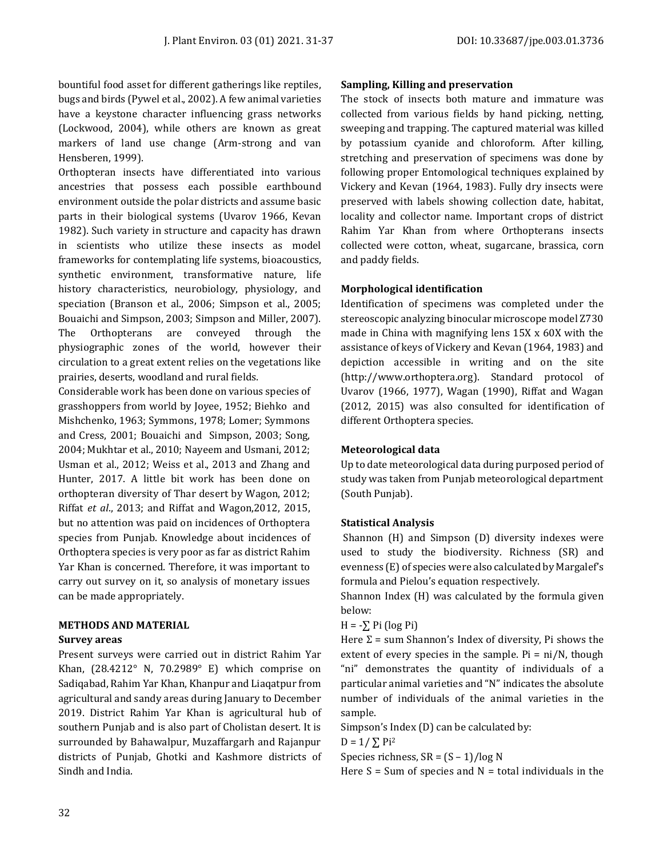bountiful food asset for different gatherings like reptiles, bugs and birds (Pywel et al., 2002). A few animal varieties have a keystone character influencing grass networks (Lockwood, 2004), while others are known as great markers of land use change (Arm-strong and van Hensberen, 1999).

Orthopteran insects have differentiated into various ancestries that possess each possible earthbound environment outside the polar districts and assume basic parts in their biological systems (Uvarov 1966, Kevan 1982). Such variety in structure and capacity has drawn in scientists who utilize these insects as model frameworks for contemplating life systems, bioacoustics, synthetic environment, transformative nature, life history characteristics, neurobiology, physiology, and speciation (Branson et al., 2006; Simpson et al., 2005; Bouaichi and Simpson, 2003; Simpson and Miller, 2007). The Orthopterans are conveyed through the physiographic zones of the world, however their circulation to a great extent relies on the vegetations like prairies, deserts, woodland and rural fields.

Considerable work has been done on various species of grasshoppers from world by Joyee, 1952; Biehko and Mishchenko, 1963; Symmons, 1978; Lomer; Symmons and Cress, 2001; Bouaichi and Simpson, 2003; Song, 2004; Mukhtar et al., 2010; Nayeem and Usmani, 2012; Usman et al., 2012; Weiss et al., 2013 and Zhang and Hunter, 2017. A little bit work has been done on orthopteran diversity of Thar desert by Wagon, 2012; Riffat *et al*., 2013; and Riffat and Wagon,2012, 2015, but no attention was paid on incidences of Orthoptera species from Punjab. Knowledge about incidences of Orthoptera species is very poor as far as district Rahim Yar Khan is concerned. Therefore, it was important to carry out survey on it, so analysis of monetary issues can be made appropriately.

#### **METHODS AND MATERIAL**

#### **Survey areas**

Present surveys were carried out in district Rahim Yar Khan, (28.4212° N, 70.2989° E) which comprise on Sadiqabad, Rahim Yar Khan, Khanpur and Liaqatpur from agricultural and sandy areas during January to December 2019. District Rahim Yar Khan is agricultural hub of southern Punjab and is also part of Cholistan desert. It is surrounded by Bahawalpur, Muzaffargarh and Rajanpur districts of Punjab, Ghotki and Kashmore districts of Sindh and India.

#### **Sampling, Killing and preservation**

The stock of insects both mature and immature was collected from various fields by hand picking, netting, sweeping and trapping. The captured material was killed by potassium cyanide and chloroform. After killing, stretching and preservation of specimens was done by following proper Entomological techniques explained by Vickery and Kevan (1964, 1983). Fully dry insects were preserved with labels showing collection date, habitat, locality and collector name. Important crops of district Rahim Yar Khan from where Orthopterans insects collected were cotton, wheat, sugarcane, brassica, corn and paddy fields.

#### **Morphological identification**

Identification of specimens was completed under the stereoscopic analyzing binocular microscope model Z730 made in China with magnifying lens 15X x 60X with the assistance of keys of Vickery and Kevan (1964, 1983) and depiction accessible in writing and on the site (http://www.orthoptera.org). Standard protocol of Uvarov (1966, 1977), Wagan (1990), Riffat and Wagan (2012, 2015) was also consulted for identification of different Orthoptera species.

#### **Meteorological data**

Up to date meteorological data during purposed period of study was taken from Punjab meteorological department (South Punjab).

### **Statistical Analysis**

Shannon (H) and Simpson (D) diversity indexes were used to study the biodiversity. Richness (SR) and evenness (E) of species were also calculated by Margalef's formula and Pielou's equation respectively.

Shannon Index (H) was calculated by the formula given below:

 $H = -\sum$  Pi (log Pi)

Here  $\Sigma$  = sum Shannon's Index of diversity, Pi shows the extent of every species in the sample.  $Pi = ni/N$ , though "ni" demonstrates the quantity of individuals of a particular animal varieties and "N" indicates the absolute number of individuals of the animal varieties in the sample.

Simpson's Index (D) can be calculated by:

$$
D = 1 / \sum \text{Pi}^2
$$

Species richness,  $SR = (S - 1)/log N$ 

Here  $S = Sum$  of species and  $N = total$  individuals in the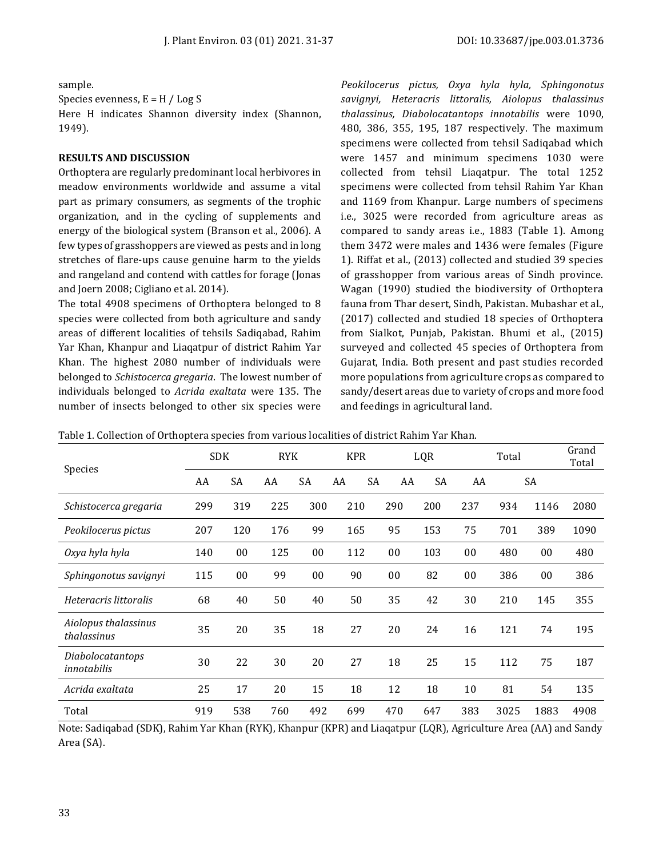sample.

Species evenness,  $E = H / Log S$ 

Here H indicates Shannon diversity index (Shannon, 1949).

#### **RESULTS AND DISCUSSION**

Orthoptera are regularly predominant local herbivores in meadow environments worldwide and assume a vital part as primary consumers, as segments of the trophic organization, and in the cycling of supplements and energy of the biological system (Branson et al., 2006). A few types of grasshoppers are viewed as pests and in long stretches of flare-ups cause genuine harm to the yields and rangeland and contend with cattles for forage (Jonas and Joern 2008; Cigliano et al. 2014).

The total 4908 specimens of Orthoptera belonged to 8 species were collected from both agriculture and sandy areas of different localities of tehsils Sadiqabad, Rahim Yar Khan, Khanpur and Liaqatpur of district Rahim Yar Khan. The highest 2080 number of individuals were belonged to *Schistocerca gregaria*. The lowest number of individuals belonged to *Acrida exaltata* were 135. The number of insects belonged to other six species were

*Peokilocerus pictus, Oxya hyla hyla, Sphingonotus savignyi, Heteracris littoralis, Aiolopus thalassinus thalassinus, Diabolocatantops innotabilis* were 1090, 480, 386, 355, 195, 187 respectively. The maximum specimens were collected from tehsil Sadiqabad which were 1457 and minimum specimens 1030 were collected from tehsil Liaqatpur. The total 1252 specimens were collected from tehsil Rahim Yar Khan and 1169 from Khanpur. Large numbers of specimens i.e., 3025 were recorded from agriculture areas as compared to sandy areas i.e., 1883 (Table 1). Among them 3472 were males and 1436 were females (Figure 1). Riffat et al., (2013) collected and studied 39 species of grasshopper from various areas of Sindh province. Wagan (1990) studied the biodiversity of Orthoptera fauna from Thar desert, Sindh, Pakistan. Mubashar et al., (2017) collected and studied 18 species of Orthoptera from Sialkot, Punjab, Pakistan. Bhumi et al., (2015) surveyed and collected 45 species of Orthoptera from Gujarat, India. Both present and past studies recorded more populations from agriculture crops as compared to sandy/desert areas due to variety of crops and more food and feedings in agricultural land.

| Species                             | <b>SDK</b> |     | <b>RYK</b> |                | <b>KPR</b> |    |     | LQR |     | Total |        | Grand<br>Total |
|-------------------------------------|------------|-----|------------|----------------|------------|----|-----|-----|-----|-------|--------|----------------|
|                                     | AA         | SA  | AA         | SA             | AA         | SA | AA  | SA  | AA  |       | SA     |                |
| Schistocerca gregaria               | 299        | 319 | 225        | 300            | 210        |    | 290 | 200 | 237 | 934   | 1146   | 2080           |
| Peokilocerus pictus                 | 207        | 120 | 176        | 99             | 165        |    | 95  | 153 | 75  | 701   | 389    | 1090           |
| Oxya hyla hyla                      | 140        | 00  | 125        | 0 <sub>0</sub> | 112        |    | 00  | 103 | 00  | 480   | $00\,$ | 480            |
| Sphingonotus savignyi               | 115        | 00  | 99         | 00             | 90         |    | 00  | 82  | 00  | 386   | $00\,$ | 386            |
| Heteracris littoralis               | 68         | 40  | 50         | 40             | 50         |    | 35  | 42  | 30  | 210   | 145    | 355            |
| Aiolopus thalassinus<br>thalassinus | 35         | 20  | 35         | 18             | 27         |    | 20  | 24  | 16  | 121   | 74     | 195            |
| Diabolocatantops<br>innotabilis     | 30         | 22  | 30         | 20             | 27         |    | 18  | 25  | 15  | 112   | 75     | 187            |
| Acrida exaltata                     | 25         | 17  | 20         | 15             | 18         |    | 12  | 18  | 10  | 81    | 54     | 135            |
| Total                               | 919        | 538 | 760        | 492            | 699        |    | 470 | 647 | 383 | 3025  | 1883   | 4908           |

Table 1. Collection of Orthoptera species from various localities of district Rahim Yar Khan.

Note: Sadiqabad (SDK), Rahim Yar Khan (RYK), Khanpur (KPR) and Liaqatpur (LQR), Agriculture Area (AA) and Sandy Area (SA).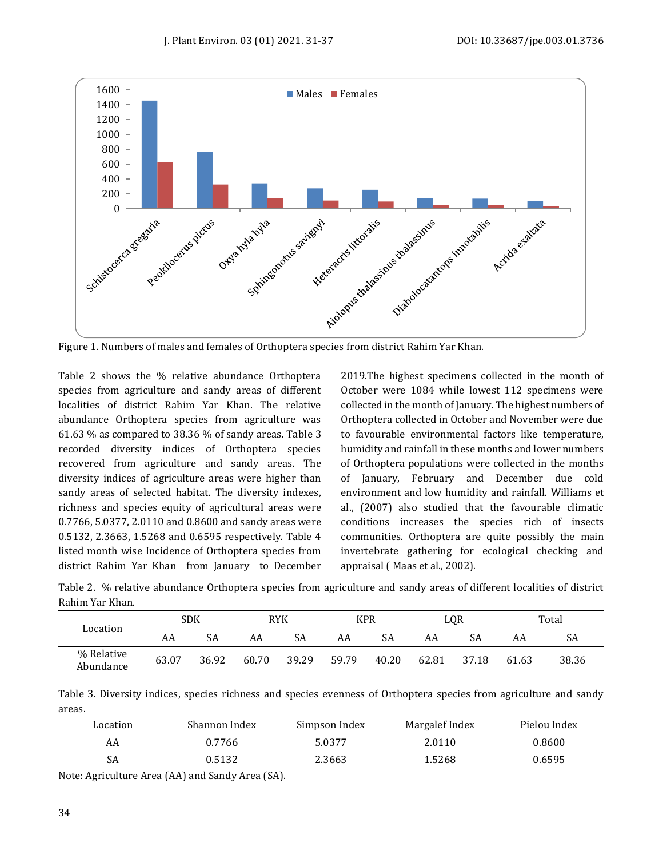

Figure 1. Numbers of males and females of Orthoptera species from district Rahim Yar Khan.

Table 2 shows the % relative abundance Orthoptera species from agriculture and sandy areas of different localities of district Rahim Yar Khan. The relative abundance Orthoptera species from agriculture was 61.63 % as compared to 38.36 % of sandy areas. Table 3 recorded diversity indices of Orthoptera species recovered from agriculture and sandy areas. The diversity indices of agriculture areas were higher than sandy areas of selected habitat. The diversity indexes, richness and species equity of agricultural areas were 0.7766, 5.0377, 2.0110 and 0.8600 and sandy areas were 0.5132, 2.3663, 1.5268 and 0.6595 respectively. Table 4 listed month wise Incidence of Orthoptera species from district Rahim Yar Khan from January to December 2019.The highest specimens collected in the month of October were 1084 while lowest 112 specimens were collected in the month of January. The highest numbers of Orthoptera collected in October and November were due to favourable environmental factors like temperature, humidity and rainfall in these months and lower numbers of Orthoptera populations were collected in the months of January, February and December due cold environment and low humidity and rainfall. Williams et al., (2007) also studied that the favourable climatic conditions increases the species rich of insects communities. Orthoptera are quite possibly the main invertebrate gathering for ecological checking and appraisal ( Maas et al., 2002).

| ,,,,,,,,,,,,,,,,,,,,,,  |       |       |       |       |            |       |       |       |       |       |
|-------------------------|-------|-------|-------|-------|------------|-------|-------|-------|-------|-------|
| Location                | SDK   |       | RYK   |       | <b>KPR</b> |       | LOR   |       | Total |       |
|                         | AA    | SA    | AA    | SA    | AA         | SA    | AA    | SA    | AA    | SA    |
| % Relative<br>Abundance | 63.07 | 36.92 | 60.70 | 39.29 | 59.79      | 40.20 | 62.81 | 37.18 | 61.63 | 38.36 |

Table 2. % relative abundance Orthoptera species from agriculture and sandy areas of different localities of district Rahim Yar Khan.

Table 3. Diversity indices, species richness and species evenness of Orthoptera species from agriculture and sandy areas.

| Location | Shannon Index | Simpson Index | Margalef Index | Pielou Index |
|----------|---------------|---------------|----------------|--------------|
| AA       | 0.7766        | 5.0377        | 2.0110         | 0.8600       |
| SA       | 0.5132        | 2.3663        | 1.5268         | 0.6595       |

Note: Agriculture Area (AA) and Sandy Area (SA).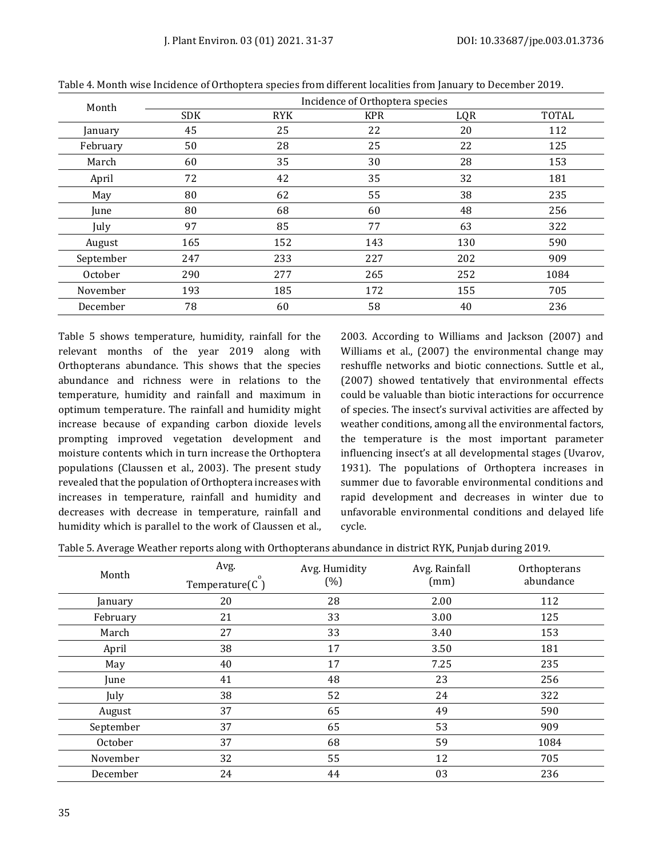| Month     | Incidence of Orthoptera species |            |            |     |              |  |  |  |
|-----------|---------------------------------|------------|------------|-----|--------------|--|--|--|
|           | <b>SDK</b>                      | <b>RYK</b> | <b>KPR</b> | LQR | <b>TOTAL</b> |  |  |  |
| January   | 45                              | 25         | 22         | 20  | 112          |  |  |  |
| February  | 50                              | 28         | 25         | 22  | 125          |  |  |  |
| March     | 60                              | 35         | 30         | 28  | 153          |  |  |  |
| April     | 72                              | 42         | 35         | 32  | 181          |  |  |  |
| May       | 80                              | 62         | 55         | 38  | 235          |  |  |  |
| June      | 80                              | 68         | 60         | 48  | 256          |  |  |  |
| July      | 97                              | 85         | 77         | 63  | 322          |  |  |  |
| August    | 165                             | 152        | 143        | 130 | 590          |  |  |  |
| September | 247                             | 233        | 227        | 202 | 909          |  |  |  |
| October   | 290                             | 277        | 265        | 252 | 1084         |  |  |  |
| November  | 193                             | 185        | 172        | 155 | 705          |  |  |  |
| December  | 78                              | 60         | 58         | 40  | 236          |  |  |  |

Table 4. Month wise Incidence of Orthoptera species from different localities from January to December 2019.

Table 5 shows temperature, humidity, rainfall for the relevant months of the year 2019 along with Orthopterans abundance. This shows that the species abundance and richness were in relations to the temperature, humidity and rainfall and maximum in optimum temperature. The rainfall and humidity might increase because of expanding carbon dioxide levels prompting improved vegetation development and moisture contents which in turn increase the Orthoptera populations (Claussen et al., 2003). The present study revealed that the population of Orthoptera increases with increases in temperature, rainfall and humidity and decreases with decrease in temperature, rainfall and humidity which is parallel to the work of Claussen et al.,

2003. According to Williams and Jackson (2007) and Williams et al., (2007) the environmental change may reshuffle networks and biotic connections. Suttle et al., (2007) showed tentatively that environmental effects could be valuable than biotic interactions for occurrence of species. The insect's survival activities are affected by weather conditions, among all the environmental factors, the temperature is the most important parameter influencing insect's at all developmental stages (Uvarov, 1931). The populations of Orthoptera increases in summer due to favorable environmental conditions and rapid development and decreases in winter due to unfavorable environmental conditions and delayed life cycle.

Table 5. Average Weather reports along with Orthopterans abundance in district RYK, Punjab during 2019.

| Month     | Avg.<br>$\Omega$<br>Temperature $(C)$ | Avg. Humidity<br>(% ) | Avg. Rainfall<br>(mm) | Orthopterans<br>abundance |
|-----------|---------------------------------------|-----------------------|-----------------------|---------------------------|
| January   | 20                                    | 28                    | 2.00                  | 112                       |
| February  | 21                                    | 33                    | 3.00                  | 125                       |
| March     | 27                                    | 33                    | 3.40                  | 153                       |
| April     | 38                                    | 17                    | 3.50                  | 181                       |
| May       | 40                                    | 17                    | 7.25                  | 235                       |
| June      | 41                                    | 48                    | 23                    | 256                       |
| July      | 38                                    | 52                    | 24                    | 322                       |
| August    | 37                                    | 65                    | 49                    | 590                       |
| September | 37                                    | 65                    | 53                    | 909                       |
| October   | 37                                    | 68                    | 59                    | 1084                      |
| November  | 32                                    | 55                    | 12                    | 705                       |
| December  | 24                                    | 44                    | 03                    | 236                       |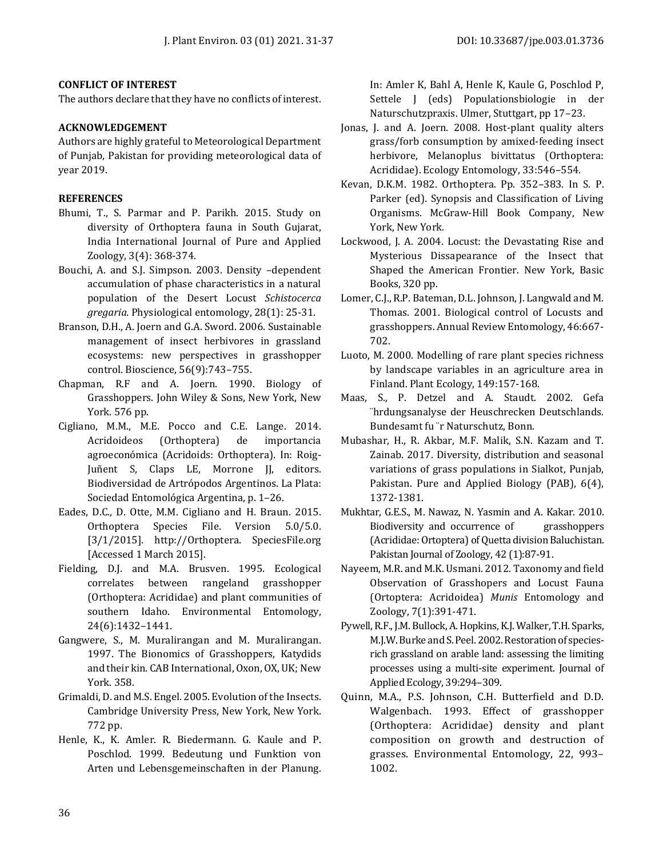#### **CONFLICT OF INTEREST**

The authors declare that they have no conflicts of interest.

#### **ACKNOWLEDGEMENT**

Authors are highly grateful to Meteorological Department of Punjab, Pakistan for providing meteorological data of year 2019.

#### **REFERENCES**

- Bhumi, T., S. Parmar and P. Parikh. 2015. Study on diversity of Orthoptera fauna in South Gujarat, India International Journal of Pure and Applied Zoology, 3(4): 368-374.
- Bouchi, A. and S.J. Simpson. 2003. Density –dependent accumulation of phase characteristics in a natural population of the Desert Locust *Schistocerca gregaria.* Physiological entomology, 28(1): 25-31.
- Branson, D.H., A. Joern and G.A. Sword. 2006. Sustainable management of insect herbivores in grassland ecosystems: new perspectives in grasshopper control. Bioscience, 56(9):743–755.
- Chapman, R.F and A. Joern. 1990. Biology of Grasshoppers. John Wiley & Sons, New York, New York. 576 pp.
- Cigliano, M.M., M.E. Pocco and C.E. Lange. 2014. Acridoideos (Orthoptera) de importancia agroeconómica (Acridoids: Orthoptera). In: Roig-Juñent S, Claps LE, Morrone JJ, editors. Biodiversidad de Artrópodos Argentinos. La Plata: Sociedad Entomológica Argentina, p. 1–26.
- Eades, D.C., D. Otte, M.M. Cigliano and H. Braun. 2015. Orthoptera Species File. Version 5.0/5.0. [3/1/2015]. http://Orthoptera. SpeciesFile.org [Accessed 1 March 2015].
- Fielding, D.J. and M.A. Brusven. 1995. Ecological correlates between rangeland grasshopper (Orthoptera: Acrididae) and plant communities of southern Idaho. Environmental Entomology, 24(6):1432–1441.
- Gangwere, S., M. Muralirangan and M. Muralirangan. 1997. The Bionomics of Grasshoppers, Katydids and their kin. CAB International, Oxon, OX, UK; New York. 358.
- Grimaldi, D. and M.S. Engel. 2005. Evolution of the Insects. Cambridge University Press, New York, New York. 772 pp.
- Henle, K., K. Amler. R. Biedermann. G. Kaule and P. Poschlod. 1999. Bedeutung und Funktion von Arten und Lebensgemeinschaften in der Planung.

In: Amler K, Bahl A, Henle K, Kaule G, Poschlod P, Settele J (eds) Populationsbiologie in der Naturschutzpraxis. Ulmer, Stuttgart, pp 17–23.

- Jonas, J. and A. Joern. 2008. Host-plant quality alters grass/forb consumption by amixed-feeding insect herbivore, Melanoplus bivittatus (Orthoptera: Acrididae). Ecology Entomology, 33:546–554.
- Kevan, D.K.M. 1982. Orthoptera. Pp. 352–383. In S. P. Parker (ed). Synopsis and Classification of Living Organisms. McGraw‐Hill Book Company, New York, New York.
- Lockwood, J. A. 2004. Locust: the Devastating Rise and Mysterious Dissapearance of the Insect that Shaped the American Frontier. New York, Basic Books, 320 pp.
- Lomer, C.J., R.P. Bateman, D.L. Johnson, J. Langwald and M. Thomas. 2001. Biological control of Locusts and grasshoppers. Annual Review Entomology, 46:667- 702.
- Luoto, M. 2000. Modelling of rare plant species richness by landscape variables in an agriculture area in Finland. Plant Ecology, 149:157-168.
- Maas, S., P. Detzel and A. Staudt. 2002. Gefa ¨hrdungsanalyse der Heuschrecken Deutschlands. Bundesamt fu ¨r Naturschutz, Bonn.
- Mubashar, H., R. Akbar, M.F. Malik, S.N. Kazam and T. Zainab. 2017. Diversity, distribution and seasonal variations of grass populations in Sialkot, Punjab, Pakistan. Pure and Applied Biology (PAB), 6(4), 1372-1381.
- Mukhtar, G.E.S., M. Nawaz, N. Yasmin and A. Kakar. 2010. Biodiversity and occurrence of grasshoppers (Acrididae: Ortoptera) of Quetta division Baluchistan. Pakistan Journal of Zoology, 42 (1):87-91.
- Nayeem, M.R. and M.K. Usmani. 2012. Taxonomy and field Observation of Grasshopers and Locust Fauna (Ortoptera: Acridoidea) *Munis* Entomology and Zoology, 7(1):391-471.
- Pywell, R.F., J.M. Bullock, A. Hopkins, K.J. Walker, T.H. Sparks, M.J.W. Burke and S. Peel. 2002. Restoration of speciesrich grassland on arable land: assessing the limiting processes using a multi-site experiment. Journal of Applied Ecology, 39:294–309.
- Quinn, M.A., P.S. Johnson, C.H. Butterfield and D.D. Walgenbach. 1993. Effect of grasshopper (Orthoptera: Acrididae) density and plant composition on growth and destruction of grasses. Environmental Entomology, 22, 993– 1002.